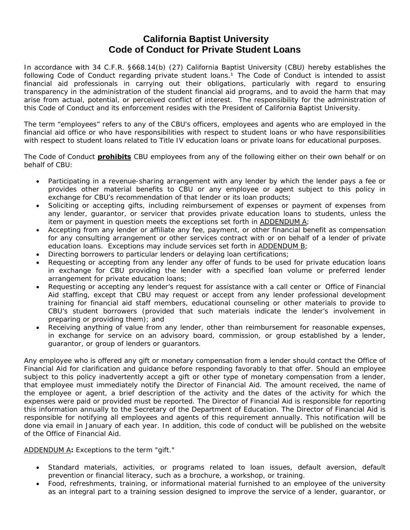## **California Baptist University Code of Conduct for Private Student Loans**

In accordance with 34 C.F.R. §668.14(b) (27) California Baptist University (CBU) hereby establishes the following Code of Conduct regarding private student loans.<sup>1</sup> The Code of Conduct is intended to assist financial aid professionals in carrying out their obligations, particularly with regard to ensuring transparency in the administration of the student financial aid programs, and to avoid the harm that may arise from actual, potential, or perceived conflict of interest. The responsibility for the administration of this Code of Conduct and its enforcement resides with the President of California Baptist University.

The term "employees" refers to any of the CBU's officers, employees and agents who are employed in the financial aid office or who have responsibilities with respect to student loans or who have responsibilities with respect to student loans related to Title IV education loans or private loans for educational purposes.

The Code of Conduct **prohibits** CBU employees from any of the following either on their own behalf or on behalf of CBU:

- Participating in a revenue-sharing arrangement with any lender by which the lender pays a fee or provides other material benefits to CBU or any employee or agent subject to this policy in exchange for CBU's recommendation of that lender or its loan products;
- Soliciting or accepting gifts, including reimbursement of expenses or payment of expenses from any lender, guarantor, or servicer that provides private education loans to students, unless the item or payment in question meets the exceptions set forth in ADDENDUM A;
- Accepting from any lender or affiliate any fee, payment, or other financial benefit as compensation for any consulting arrangement or other services contract with or on behalf of a lender of private education loans. Exceptions may include services set forth in ADDENDUM B;
- Directing borrowers to particular lenders or delaying loan certifications;
- Requesting or accepting from any lender any offer of funds to be used for private education loans in exchange for CBU providing the lender with a specified loan volume or preferred lender arrangement for private education loans;
- Requesting or accepting any lender's request for assistance with a call center or Office of Financial Aid staffing, except that CBU may request or accept from any lender professional development training for financial aid staff members, educational counseling or other materials to provide to CBU's student borrowers (provided that such materials indicate the lender's involvement in preparing or providing them); and
- Receiving anything of value from any lender, other than reimbursement for reasonable expenses, in exchange for service on an advisory board, commission, or group established by a lender, guarantor, or group of lenders or guarantors.

Any employee who is offered any gift or monetary compensation from a lender should contact the Office of Financial Aid for clarification and guidance before responding favorably to that offer. Should an employee subject to this policy inadvertently accept a gift or other type of monetary compensation from a lender, that employee must immediately notify the Director of Financial Aid. The amount received, the name of the employee or agent, a brief description of the activity and the dates of the activity for which the expenses were paid or provided must be reported. The Director of Financial Aid is responsible for reporting this information annually to the Secretary of the Department of Education. The Director of Financial Aid is responsible for notifying all employees and agents of this requirement annually. This notification will be done via email in January of each year. In addition, this code of conduct will be published on the website of the Office of Financial Aid.

ADDENDUM A**:** Exceptions to the term "gift."

- Standard materials, activities, or programs related to loan issues, default aversion, default prevention or financial literacy, such as a brochure, a workshop, or training.
- Food, refreshments, training, or informational material furnished to an employee of the university as an integral part to a training session designed to improve the service of a lender, guarantor, or